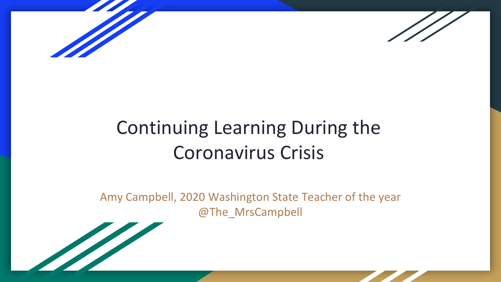



# Continuing Learning During the Coronavirus Crisis

Amy Campbell, 2020 Washington State Teacher of the year @The\_MrsCampbell

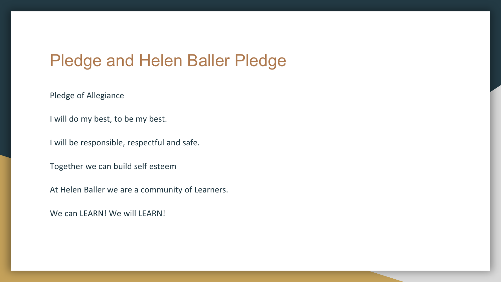### Pledge and Helen Baller Pledge

Pledge of Allegiance

I will do my best, to be my best.

I will be responsible, respectful and safe.

Together we can build self esteem

At Helen Baller we are a community of Learners.

We can LEARN! We will LEARN!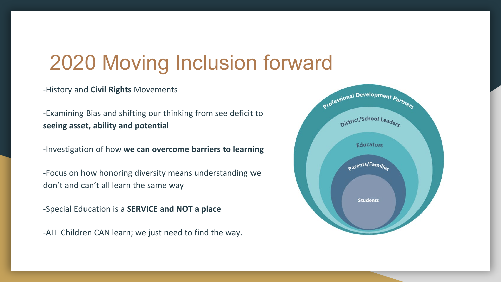## 2020 Moving Inclusion forward

-History and **Civil Rights** Movements

-Examining Bias and shifting our thinking from see deficit to **seeing asset, ability and potential**

-Investigation of how **we can overcome barriers to learning**

-Focus on how honoring diversity means understanding we don't and can't all learn the same way

-Special Education is a **SERVICE and NOT a place**

-ALL Children CAN learn; we just need to find the way.

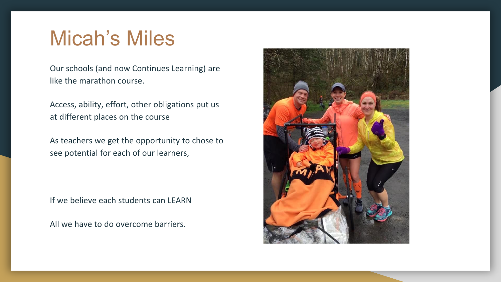### Micah's Miles

Our schools (and now Continues Learning) are like the marathon course.

Access, ability, effort, other obligations put us at different places on the course

As teachers we get the opportunity to chose to see potential for each of our learners,

If we believe each students can LEARN

All we have to do overcome barriers.

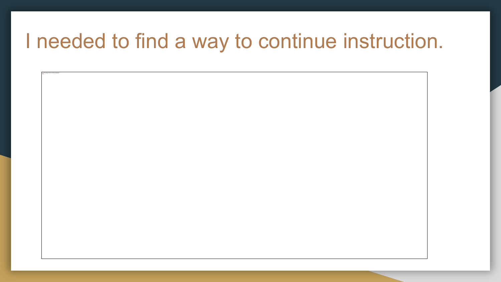### I needed to find a way to continue instruction.

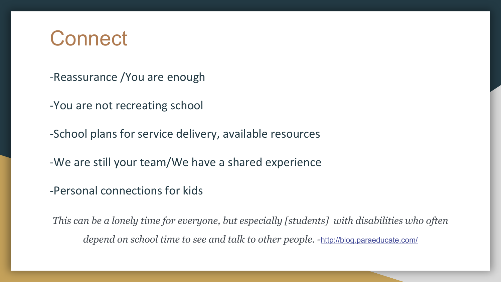### **Connect**

- -Reassurance /You are enough
- -You are not recreating school
- -School plans for service delivery, available resources
- -We are still your team/We have a shared experience
- -Personal connections for kids

*This can be a lonely time for everyone, but especially [students] with disabilities who often depend on school time to see and talk to other people. -*<http://blog.paraeducate.com/>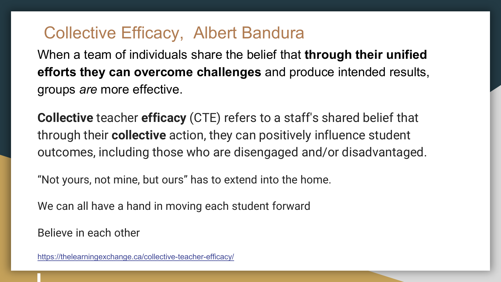### Collective Efficacy, Albert Bandura

When a team of individuals share the belief that **through their unified efforts they can overcome challenges** and produce intended results, groups *are* more effective.

**Collective** teacher **efficacy** (CTE) refers to a staff's shared belief that through their **collective** action, they can positively influence student outcomes, including those who are disengaged and/or disadvantaged.

"Not yours, not mine, but ours" has to extend into the home.

We can all have a hand in moving each student forward

Believe in each other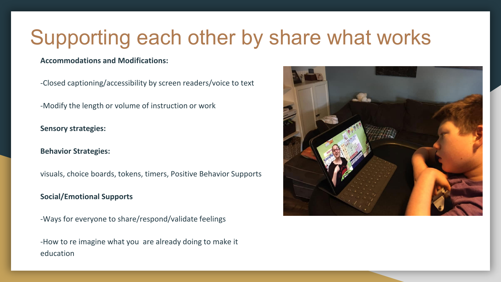## Supporting each other by share what works

#### **Accommodations and Modifications:**

-Closed captioning/accessibility by screen readers/voice to text

-Modify the length or volume of instruction or work

**Sensory strategies:** 

#### **Behavior Strategies:**

visuals, choice boards, tokens, timers, Positive Behavior Supports

#### **Social/Emotional Supports**

-Ways for everyone to share/respond/validate feelings

-How to re imagine what you are already doing to make it education

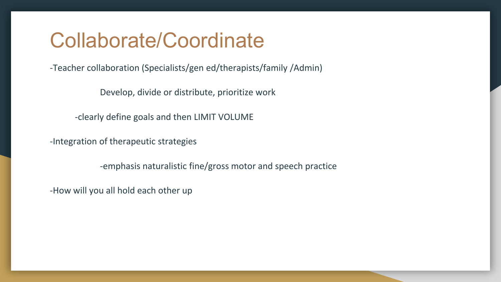### Collaborate/Coordinate

-Teacher collaboration (Specialists/gen ed/therapists/family /Admin)

Develop, divide or distribute, prioritize work

-clearly define goals and then LIMIT VOLUME

-Integration of therapeutic strategies

-emphasis naturalistic fine/gross motor and speech practice

-How will you all hold each other up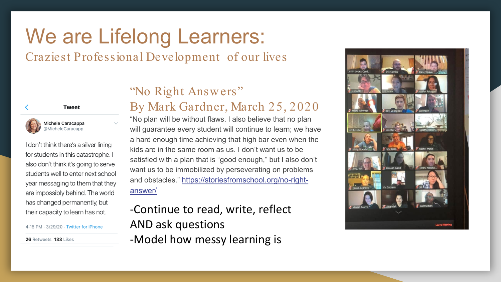# We are Lifelong Learners:

### Craziest Professional Development of our lives



lichele Caracappa MicheleCaracapp

I don't think there's a silver lining for students in this catastrophe. I also don't think it's going to serve students well to enter next school year messaging to them that they are impossibly behind. The world has changed permanently, but their capacity to learn has not.

4:15 PM · 3/29/20 · Twitter for iPhone

26 Retweets 133 Likes

### "No Right Answers" By Mark Gardner, March 25, 2020

"No plan will be without flaws. I also believe that no plan will guarantee every student will continue to learn; we have a hard enough time achieving that high bar even when the kids are in the same room as us. I don't want us to be satisfied with a plan that is "good enough," but I also don't want us to be immobilized by perseverating on problems [and obstacles." https://storiesfromschool.org/no-right](https://storiesfromschool.org/no-right-answer/)answer/

-Continue to read, write, reflect AND ask questions -Model how messy learning is

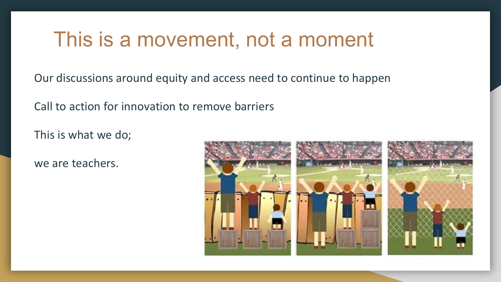### This is a movement, not a moment

Our discussions around equity and access need to continue to happen

Call to action for innovation to remove barriers

This is what we do;

we are teachers.